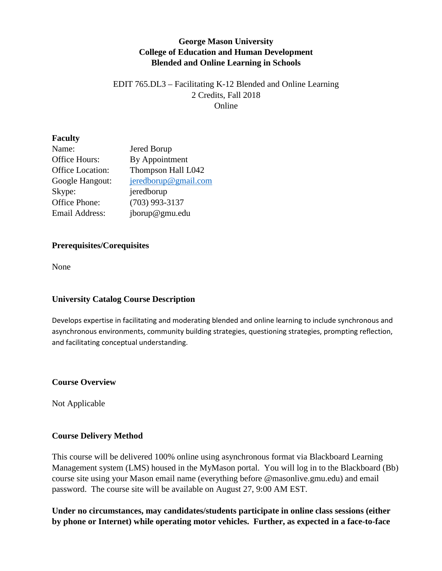### **George Mason University College of Education and Human Development Blended and Online Learning in Schools**

### EDIT 765.DL3 – Facilitating K-12 Blended and Online Learning 2 Credits, Fall 2018 Online

### **Faculty**

| Name:            | Jered Borup             |
|------------------|-------------------------|
| Office Hours:    | By Appointment          |
| Office Location: | Thompson Hall L042      |
| Google Hangout:  | $j$ eredborup@gmail.com |
| Skype:           | jeredborup              |
| Office Phone:    | $(703)$ 993-3137        |
| Email Address:   | jborup@gmu.edu          |

### **Prerequisites/Corequisites**

None

### **University Catalog Course Description**

Develops expertise in facilitating and moderating blended and online learning to include synchronous and asynchronous environments, community building strategies, questioning strategies, prompting reflection, and facilitating conceptual understanding.

#### **Course Overview**

Not Applicable

### **Course Delivery Method**

This course will be delivered 100% online using asynchronous format via Blackboard Learning Management system (LMS) housed in the MyMason portal. You will log in to the Blackboard (Bb) course site using your Mason email name (everything before @masonlive.gmu.edu) and email password. The course site will be available on August 27, 9:00 AM EST.

**Under no circumstances, may candidates/students participate in online class sessions (either by phone or Internet) while operating motor vehicles. Further, as expected in a face-to-face**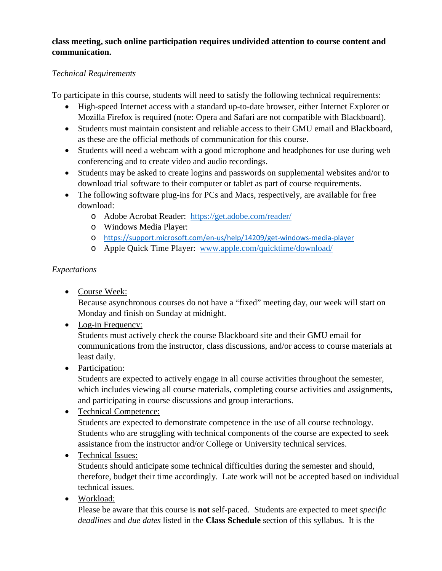### **class meeting, such online participation requires undivided attention to course content and communication.**

## *Technical Requirements*

To participate in this course, students will need to satisfy the following technical requirements:

- High-speed Internet access with a standard up-to-date browser, either Internet Explorer or Mozilla Firefox is required (note: Opera and Safari are not compatible with Blackboard).
- Students must maintain consistent and reliable access to their GMU email and Blackboard, as these are the official methods of communication for this course.
- Students will need a webcam with a good microphone and headphones for use during web conferencing and to create video and audio recordings.
- Students may be asked to create logins and passwords on supplemental websites and/or to download trial software to their computer or tablet as part of course requirements.
- The following software plug-ins for PCs and Macs, respectively, are available for free download:
	- o Adobe Acrobat Reader: <https://get.adobe.com/reader/>
	- o Windows Media Player:
	- o <https://support.microsoft.com/en-us/help/14209/get-windows-media-player>
	- o Apple Quick Time Player: [www.apple.com/quicktime/download/](http://www.apple.com/quicktime/download/)

# *Expectations*

• Course Week:

Because asynchronous courses do not have a "fixed" meeting day, our week will start on Monday and finish on Sunday at midnight.

• Log-in Frequency:

Students must actively check the course Blackboard site and their GMU email for communications from the instructor, class discussions, and/or access to course materials at least daily.

• Participation:

Students are expected to actively engage in all course activities throughout the semester, which includes viewing all course materials, completing course activities and assignments, and participating in course discussions and group interactions.

## • Technical Competence: Students are expected to demonstrate competence in the use of all course technology. Students who are struggling with technical components of the course are expected to seek assistance from the instructor and/or College or University technical services.

# • Technical Issues:

Students should anticipate some technical difficulties during the semester and should, therefore, budget their time accordingly. Late work will not be accepted based on individual technical issues.

• Workload:

Please be aware that this course is **not** self-paced. Students are expected to meet *specific deadlines* and *due dates* listed in the **Class Schedule** section of this syllabus. It is the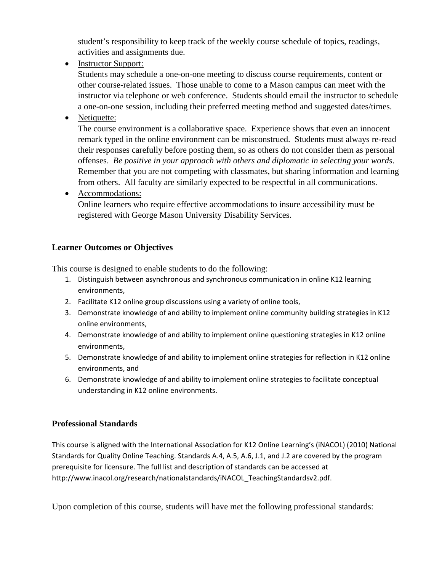student's responsibility to keep track of the weekly course schedule of topics, readings, activities and assignments due.

• Instructor Support:

Students may schedule a one-on-one meeting to discuss course requirements, content or other course-related issues. Those unable to come to a Mason campus can meet with the instructor via telephone or web conference. Students should email the instructor to schedule a one-on-one session, including their preferred meeting method and suggested dates/times.

• Netiquette:

The course environment is a collaborative space. Experience shows that even an innocent remark typed in the online environment can be misconstrued. Students must always re-read their responses carefully before posting them, so as others do not consider them as personal offenses. *Be positive in your approach with others and diplomatic in selecting your words*. Remember that you are not competing with classmates, but sharing information and learning from others. All faculty are similarly expected to be respectful in all communications.

• Accommodations:

Online learners who require effective accommodations to insure accessibility must be registered with George Mason University Disability Services.

### **Learner Outcomes or Objectives**

This course is designed to enable students to do the following:

- 1. Distinguish between asynchronous and synchronous communication in online K12 learning environments,
- 2. Facilitate K12 online group discussions using a variety of online tools,
- 3. Demonstrate knowledge of and ability to implement online community building strategies in K12 online environments,
- 4. Demonstrate knowledge of and ability to implement online questioning strategies in K12 online environments,
- 5. Demonstrate knowledge of and ability to implement online strategies for reflection in K12 online environments, and
- 6. Demonstrate knowledge of and ability to implement online strategies to facilitate conceptual understanding in K12 online environments.

### **Professional Standards**

This course is aligned with the International Association for K12 Online Learning's (iNACOL) (2010) National Standards for Quality Online Teaching. Standards A.4, A.5, A.6, J.1, and J.2 are covered by the program prerequisite for licensure. The full list and description of standards can be accessed at http://www.inacol.org/research/nationalstandards/iNACOL\_TeachingStandardsv2.pdf.

Upon completion of this course, students will have met the following professional standards: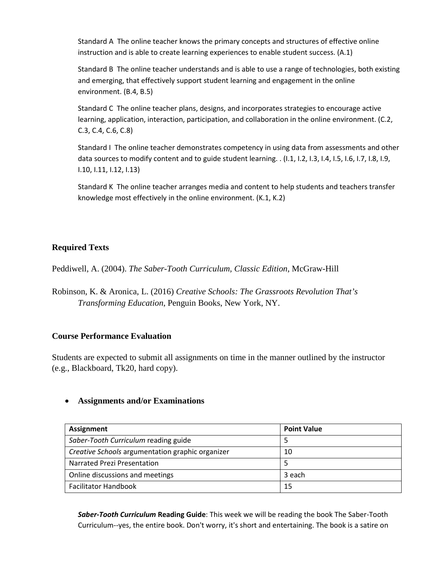Standard A The online teacher knows the primary concepts and structures of effective online instruction and is able to create learning experiences to enable student success. (A.1)

Standard B The online teacher understands and is able to use a range of technologies, both existing and emerging, that effectively support student learning and engagement in the online environment. (B.4, B.5)

Standard C The online teacher plans, designs, and incorporates strategies to encourage active learning, application, interaction, participation, and collaboration in the online environment. (C.2, C.3, C.4, C.6, C.8)

Standard I The online teacher demonstrates competency in using data from assessments and other data sources to modify content and to guide student learning. . (I.1, I.2, I.3, I.4, I.5, I.6, I.7, I.8, I.9, I.10, I.11, I.12, I.13)

Standard K The online teacher arranges media and content to help students and teachers transfer knowledge most effectively in the online environment. (K.1, K.2)

### **Required Texts**

Peddiwell, A. (2004). *The Saber-Tooth Curriculum, Classic Edition*, McGraw-Hill

Robinson, K. & Aronica, L. (2016) *Creative Schools: The Grassroots Revolution That's Transforming Education*, Penguin Books, New York, NY.

#### **Course Performance Evaluation**

Students are expected to submit all assignments on time in the manner outlined by the instructor (e.g., Blackboard, Tk20, hard copy).

#### • **Assignments and/or Examinations**

| Assignment                                       | <b>Point Value</b> |
|--------------------------------------------------|--------------------|
| Saber-Tooth Curriculum reading guide             |                    |
| Creative Schools argumentation graphic organizer | 10                 |
| Narrated Prezi Presentation                      |                    |
| Online discussions and meetings                  | 3 each             |
| <b>Facilitator Handbook</b>                      | 15                 |

*Saber-Tooth Curriculum* **Reading Guide**: This week we will be reading the book The Saber-Tooth Curriculum--yes, the entire book. Don't worry, it's short and entertaining. The book is a satire on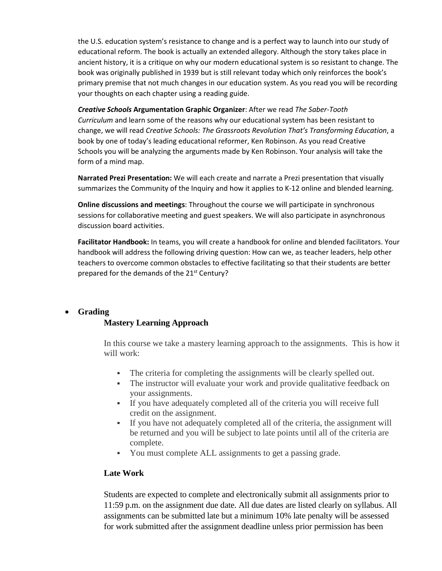the U.S. education system's resistance to change and is a perfect way to launch into our study of educational reform. The book is actually an extended allegory. Although the story takes place in ancient history, it is a critique on why our modern educational system is so resistant to change. The book was originally published in 1939 but is still relevant today which only reinforces the book's primary premise that not much changes in our education system. As you read you will be recording your thoughts on each chapter using a reading guide.

*Creative Schools* **Argumentation Graphic Organizer**: After we read *The Saber-Tooth Curriculum* and learn some of the reasons why our educational system has been resistant to change, we will read *Creative Schools: The Grassroots Revolution That's Transforming Education*, a book by one of today's leading educational reformer, Ken Robinson. As you read Creative Schools you will be analyzing the arguments made by Ken Robinson. Your analysis will take the form of a mind map.

**Narrated Prezi Presentation:** We will each create and narrate a Prezi presentation that visually summarizes the Community of the Inquiry and how it applies to K-12 online and blended learning.

**Online discussions and meetings**: Throughout the course we will participate in synchronous sessions for collaborative meeting and guest speakers. We will also participate in asynchronous discussion board activities.

**Facilitator Handbook:** In teams, you will create a handbook for online and blended facilitators. Your handbook will address the following driving question: How can we, as teacher leaders, help other teachers to overcome common obstacles to effective facilitating so that their students are better prepared for the demands of the 21<sup>st</sup> Century?

#### • **Grading**

#### **Mastery Learning Approach**

In this course we take a mastery learning approach to the assignments. This is how it will work:

- The criteria for completing the assignments will be clearly spelled out.
- The instructor will evaluate your work and provide qualitative feedback on your assignments.
- If you have adequately completed all of the criteria you will receive full credit on the assignment.
- If you have not adequately completed all of the criteria, the assignment will be returned and you will be subject to late points until all of the criteria are complete.
- You must complete ALL assignments to get a passing grade.

#### **Late Work**

Students are expected to complete and electronically submit all assignments prior to 11:59 p.m. on the assignment due date. All due dates are listed clearly on syllabus. All assignments can be submitted late but a minimum 10% late penalty will be assessed for work submitted after the assignment deadline unless prior permission has been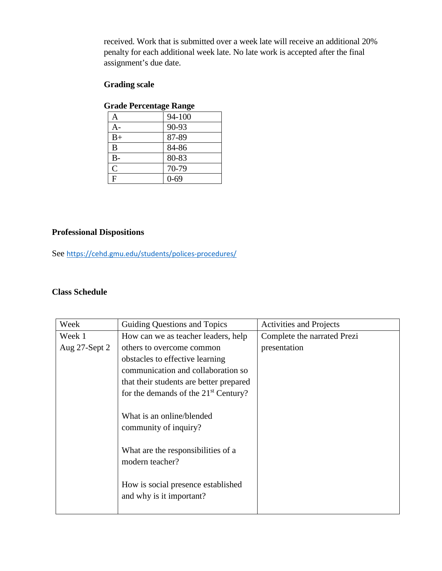received. Work that is submitted over a week late will receive an additional 20% penalty for each additional week late. No late work is accepted after the final assignment's due date.

### **Grading scale**

| staue i efectivage kange |          |  |
|--------------------------|----------|--|
| Α                        | 94-100   |  |
| A-                       | 90-93    |  |
| $B+$                     | 87-89    |  |
| B                        | 84-86    |  |
| $B-$                     | 80-83    |  |
| $\mathsf{C}$             | 70-79    |  |
| $\overline{\mathrm{F}}$  | $0 - 69$ |  |

### **Grade Percentage Range**

### **Professional Dispositions**

See <https://cehd.gmu.edu/students/polices-procedures/>

#### **Class Schedule**

| Week          | Guiding Questions and Topics            | <b>Activities and Projects</b> |  |
|---------------|-----------------------------------------|--------------------------------|--|
| Week 1        | How can we as teacher leaders, help     | Complete the narrated Prezi    |  |
| Aug 27-Sept 2 | others to overcome common               | presentation                   |  |
|               | obstacles to effective learning         |                                |  |
|               | communication and collaboration so      |                                |  |
|               | that their students are better prepared |                                |  |
|               | for the demands of the $21st$ Century?  |                                |  |
|               |                                         |                                |  |
|               | What is an online/blended               |                                |  |
|               | community of inquiry?                   |                                |  |
|               |                                         |                                |  |
|               | What are the responsibilities of a      |                                |  |
|               | modern teacher?                         |                                |  |
|               |                                         |                                |  |
|               | How is social presence established      |                                |  |
|               | and why is it important?                |                                |  |
|               |                                         |                                |  |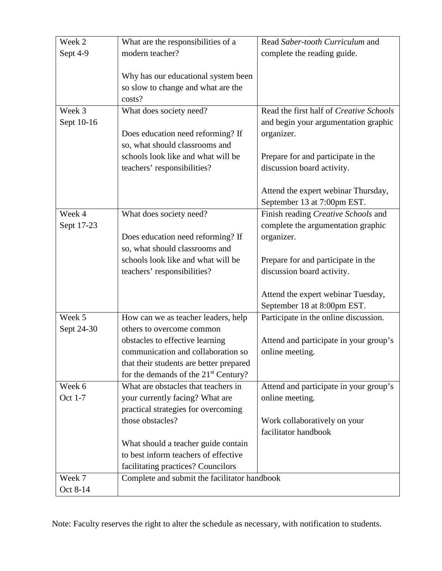| Week 2     | What are the responsibilities of a               | Read Saber-tooth Curriculum and         |  |
|------------|--------------------------------------------------|-----------------------------------------|--|
| Sept 4-9   | modern teacher?                                  | complete the reading guide.             |  |
|            |                                                  |                                         |  |
|            | Why has our educational system been              |                                         |  |
|            | so slow to change and what are the               |                                         |  |
|            | costs?                                           |                                         |  |
| Week 3     | What does society need?                          | Read the first half of Creative Schools |  |
| Sept 10-16 |                                                  | and begin your argumentation graphic    |  |
|            | Does education need reforming? If                | organizer.                              |  |
|            | so, what should classrooms and                   |                                         |  |
|            | schools look like and what will be               | Prepare for and participate in the      |  |
|            | teachers' responsibilities?                      | discussion board activity.              |  |
|            |                                                  |                                         |  |
|            |                                                  | Attend the expert webinar Thursday,     |  |
|            |                                                  | September 13 at 7:00pm EST.             |  |
| Week 4     | What does society need?                          | Finish reading Creative Schools and     |  |
| Sept 17-23 |                                                  | complete the argumentation graphic      |  |
|            | Does education need reforming? If                | organizer.                              |  |
|            | so, what should classrooms and                   |                                         |  |
|            | schools look like and what will be               | Prepare for and participate in the      |  |
|            | teachers' responsibilities?                      | discussion board activity.              |  |
|            |                                                  |                                         |  |
|            |                                                  | Attend the expert webinar Tuesday,      |  |
|            |                                                  | September 18 at 8:00pm EST.             |  |
| Week 5     | How can we as teacher leaders, help              | Participate in the online discussion.   |  |
| Sept 24-30 | others to overcome common                        |                                         |  |
|            | obstacles to effective learning                  | Attend and participate in your group's  |  |
|            | communication and collaboration so               | online meeting.                         |  |
|            | that their students are better prepared          |                                         |  |
|            | for the demands of the 21 <sup>st</sup> Century? |                                         |  |
| Week 6     | What are obstacles that teachers in              | Attend and participate in your group's  |  |
| Oct 1-7    | your currently facing? What are                  | online meeting.                         |  |
|            | practical strategies for overcoming              |                                         |  |
|            | those obstacles?                                 | Work collaboratively on your            |  |
|            |                                                  | facilitator handbook                    |  |
|            | What should a teacher guide contain              |                                         |  |
|            | to best inform teachers of effective             |                                         |  |
|            | facilitating practices? Councilors               |                                         |  |
| Week 7     | Complete and submit the facilitator handbook     |                                         |  |
| Oct 8-14   |                                                  |                                         |  |

Note: Faculty reserves the right to alter the schedule as necessary, with notification to students.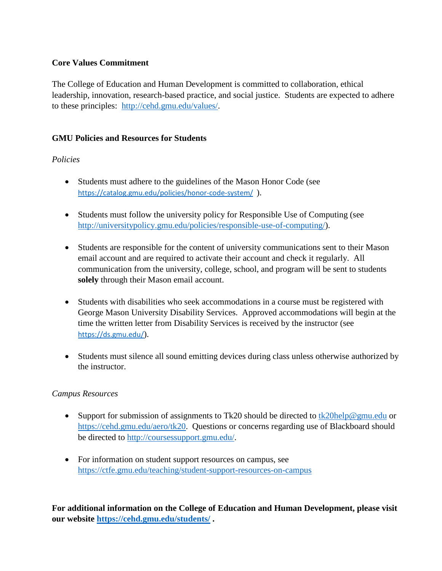### **Core Values Commitment**

The College of Education and Human Development is committed to collaboration, ethical leadership, innovation, research-based practice, and social justice. Students are expected to adhere to these principles: [http://cehd.gmu.edu/values/.](http://cehd.gmu.edu/values/)

### **GMU Policies and Resources for Students**

### *Policies*

- Students must adhere to the guidelines of the Mason Honor Code (see <https://catalog.gmu.edu/policies/honor-code-system/>).
- Students must follow the university policy for Responsible Use of Computing (see [http://universitypolicy.gmu.edu/policies/responsible-use-of-computing/\)](http://universitypolicy.gmu.edu/policies/responsible-use-of-computing/).
- Students are responsible for the content of university communications sent to their Mason email account and are required to activate their account and check it regularly. All communication from the university, college, school, and program will be sent to students **solely** through their Mason email account.
- Students with disabilities who seek accommodations in a course must be registered with George Mason University Disability Services. Approved accommodations will begin at the time the written letter from Disability Services is received by the instructor (see <https://ds.gmu.edu/>).
- Students must silence all sound emitting devices during class unless otherwise authorized by the instructor.

### *Campus Resources*

- Support for submission of assignments to Tk20 should be directed to  $tk20$ help@gmu.edu or [https://cehd.gmu.edu/aero/tk20.](https://cehd.gmu.edu/aero/tk20) Questions or concerns regarding use of Blackboard should be directed to [http://coursessupport.gmu.edu/.](http://coursessupport.gmu.edu/)
- For information on student support resources on campus, see <https://ctfe.gmu.edu/teaching/student-support-resources-on-campus>

**For additional information on the College of Education and Human Development, please visit our website<https://cehd.gmu.edu/students/> .**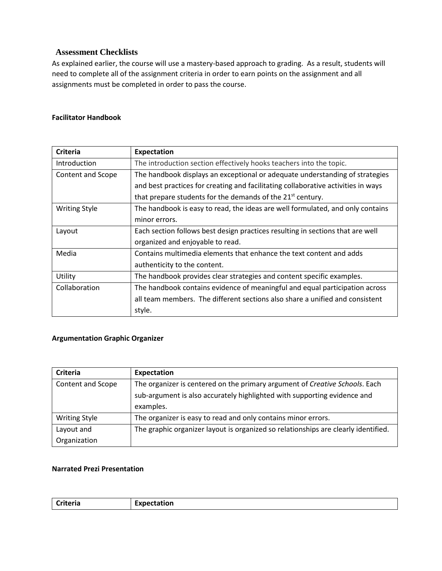#### **Assessment Checklists**

As explained earlier, the course will use a mastery-based approach to grading. As a result, students will need to complete all of the assignment criteria in order to earn points on the assignment and all assignments must be completed in order to pass the course.

#### **Facilitator Handbook**

| <b>Criteria</b>      | Expectation                                                                       |  |
|----------------------|-----------------------------------------------------------------------------------|--|
| Introduction         | The introduction section effectively hooks teachers into the topic.               |  |
| Content and Scope    | The handbook displays an exceptional or adequate understanding of strategies      |  |
|                      | and best practices for creating and facilitating collaborative activities in ways |  |
|                      | that prepare students for the demands of the 21 <sup>st</sup> century.            |  |
| <b>Writing Style</b> | The handbook is easy to read, the ideas are well formulated, and only contains    |  |
|                      | minor errors.                                                                     |  |
| Layout               | Each section follows best design practices resulting in sections that are well    |  |
|                      | organized and enjoyable to read.                                                  |  |
| Media                | Contains multimedia elements that enhance the text content and adds               |  |
|                      | authenticity to the content.                                                      |  |
| Utility              | The handbook provides clear strategies and content specific examples.             |  |
| Collaboration        | The handbook contains evidence of meaningful and equal participation across       |  |
|                      | all team members. The different sections also share a unified and consistent      |  |
|                      | style.                                                                            |  |

#### **Argumentation Graphic Organizer**

| Criteria             | Expectation                                                                        |  |
|----------------------|------------------------------------------------------------------------------------|--|
| Content and Scope    | The organizer is centered on the primary argument of Creative Schools. Each        |  |
|                      | sub-argument is also accurately highlighted with supporting evidence and           |  |
|                      | examples.                                                                          |  |
| <b>Writing Style</b> | The organizer is easy to read and only contains minor errors.                      |  |
| Layout and           | The graphic organizer layout is organized so relationships are clearly identified. |  |
| Organization         |                                                                                    |  |

#### **Narrated Prezi Presentation**

| <b>riteria</b> | Expectation |
|----------------|-------------|
|----------------|-------------|